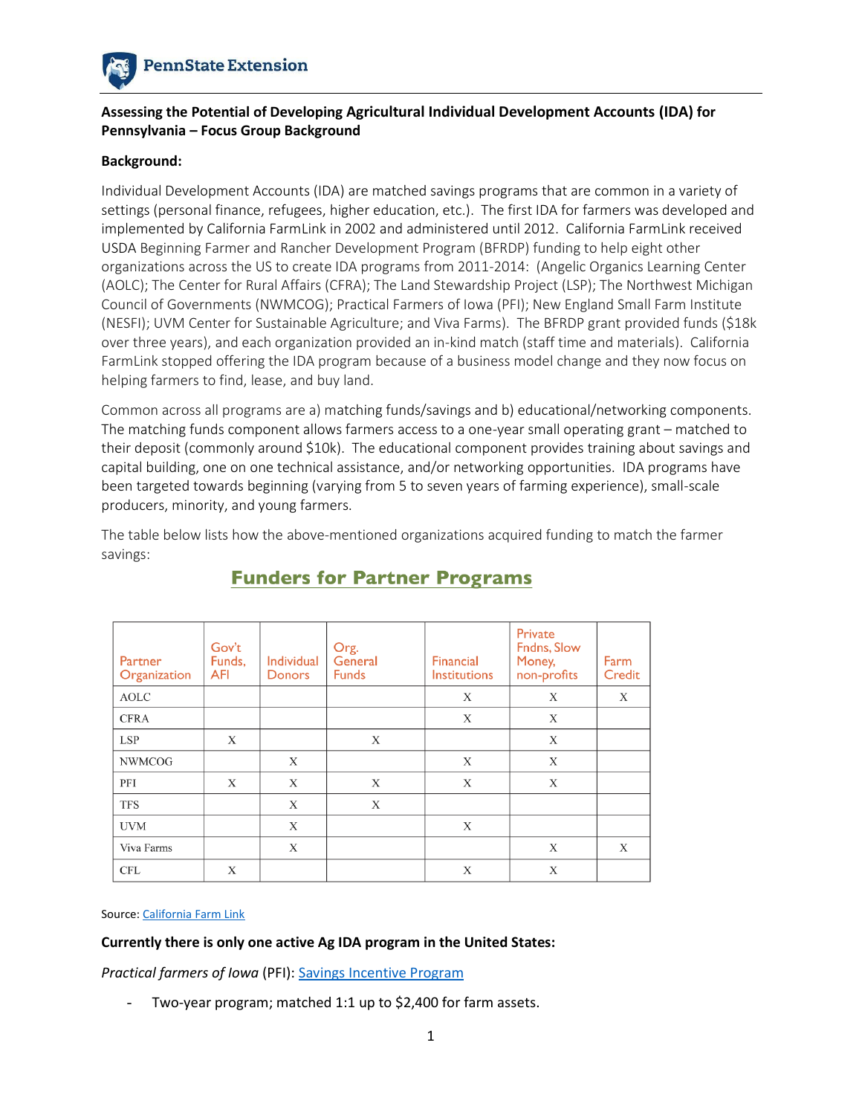

### **Assessing the Potential of Developing Agricultural Individual Development Accounts (IDA) for Pennsylvania – Focus Group Background**

### **Background:**

Individual Development Accounts (IDA) are matched savings programs that are common in a variety of settings (personal finance, refugees, higher education, etc.). The first IDA for farmers was developed and implemented by California FarmLink in 2002 and administered until 2012. California FarmLink received USDA Beginning Farmer and Rancher Development Program (BFRDP) funding to help eight other organizations across the US to create IDA programs from 2011-2014: (Angelic Organics Learning Center (AOLC); The Center for Rural Affairs (CFRA); The Land Stewardship Project (LSP); The Northwest Michigan Council of Governments (NWMCOG); Practical Farmers of Iowa (PFI); New England Small Farm Institute (NESFI); UVM Center for Sustainable Agriculture; and Viva Farms). The BFRDP grant provided funds (\$18k over three years), and each organization provided an in-kind match (staff time and materials). California FarmLink stopped offering the IDA program because of a business model change and they now focus on helping farmers to find, lease, and buy land.

Common across all programs are a) matching funds/savings and b) educational/networking components. The matching funds component allows farmers access to a one-year small operating grant – matched to their deposit (commonly around \$10k). The educational component provides training about savings and capital building, one on one technical assistance, and/or networking opportunities. IDA programs have been targeted towards beginning (varying from 5 to seven years of farming experience), small-scale producers, minority, and young farmers.

The table below lists how the above-mentioned organizations acquired funding to match the farmer savings:

| Partner<br>Organization | Gov't<br>Funds,<br><b>AFI</b> | Individual<br><b>Donors</b> | Org.<br>General<br><b>Funds</b> | Financial<br><b>Institutions</b> | Private<br>Fndns, Slow<br>Money,<br>non-profits | Farm<br>Credit |
|-------------------------|-------------------------------|-----------------------------|---------------------------------|----------------------------------|-------------------------------------------------|----------------|
| <b>AOLC</b>             |                               |                             |                                 | X                                | X                                               | X              |
| <b>CFRA</b>             |                               |                             |                                 | X                                | X                                               |                |
| <b>LSP</b>              | X                             |                             | X                               |                                  | X                                               |                |
| <b>NWMCOG</b>           |                               | X                           |                                 | X                                | X                                               |                |
| PFI                     | X                             | X                           | X                               | X                                | X                                               |                |
| <b>TFS</b>              |                               | X                           | X                               |                                  |                                                 |                |
| <b>UVM</b>              |                               | X                           |                                 | X                                |                                                 |                |
| Viva Farms              |                               | X                           |                                 |                                  | X                                               | X              |
| <b>CFL</b>              | X                             |                             |                                 | X                                | X                                               |                |

# **Funders for Partner Programs**

#### Source[: California Farm Link](https://www.californiafarmlink.org/resources/a-guide-to-developing-and-operating-an-ag-individual-development-account-ida-program/)

### **Currently there is only one active Ag IDA program in the United States:**

*Practical farmers of Iowa* (PFI): [Savings Incentive Program](https://practicalfarmers.org/programs/beginning-farmers/savings-incentive-program/)

- Two-year program; matched 1:1 up to \$2,400 for farm assets.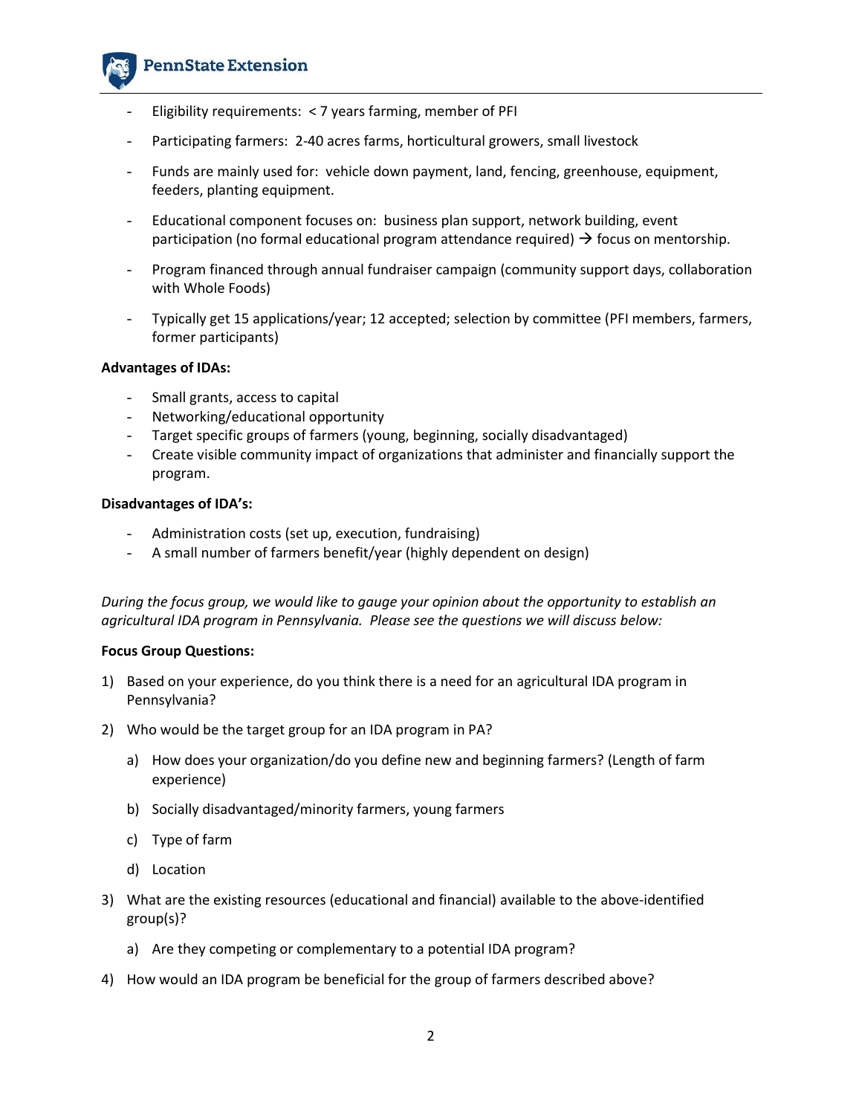## **PennState Extension**

- Eligibility requirements:  $<$  7 years farming, member of PFI
- Participating farmers: 2-40 acres farms, horticultural growers, small livestock
- Funds are mainly used for: vehicle down payment, land, fencing, greenhouse, equipment, feeders, planting equipment.
- Educational component focuses on: business plan support, network building, event participation (no formal educational program attendance required)  $\rightarrow$  focus on mentorship.
- Program financed through annual fundraiser campaign (community support days, collaboration with Whole Foods)
- Typically get 15 applications/year; 12 accepted; selection by committee (PFI members, farmers, former participants)

### **Advantages of IDAs:**

- Small grants, access to capital
- Networking/educational opportunity
- Target specific groups of farmers (young, beginning, socially disadvantaged)
- Create visible community impact of organizations that administer and financially support the program.

### **Disadvantages of IDA's:**

- Administration costs (set up, execution, fundraising)
- A small number of farmers benefit/year (highly dependent on design)

*During the focus group, we would like to gauge your opinion about the opportunity to establish an agricultural IDA program in Pennsylvania. Please see the questions we will discuss below:* 

### **Focus Group Questions:**

- 1) Based on your experience, do you think there is a need for an agricultural IDA program in Pennsylvania?
- 2) Who would be the target group for an IDA program in PA?
	- a) How does your organization/do you define new and beginning farmers? (Length of farm experience)
	- b) Socially disadvantaged/minority farmers, young farmers
	- c) Type of farm
	- d) Location
- 3) What are the existing resources (educational and financial) available to the above-identified group(s)?
	- a) Are they competing or complementary to a potential IDA program?
- 4) How would an IDA program be beneficial for the group of farmers described above?